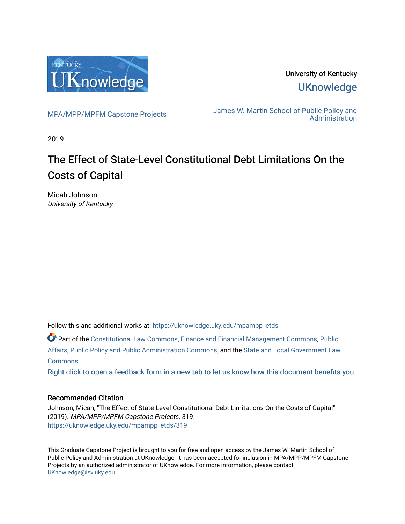

University of Kentucky **UKnowledge** 

[MPA/MPP/MPFM Capstone Projects](https://uknowledge.uky.edu/mpampp_etds) James W. Martin School of Public Policy and **Administration** 

2019

# The Effect of State-Level Constitutional Debt Limitations On the Costs of Capital

Micah Johnson University of Kentucky

Follow this and additional works at: [https://uknowledge.uky.edu/mpampp\\_etds](https://uknowledge.uky.edu/mpampp_etds?utm_source=uknowledge.uky.edu%2Fmpampp_etds%2F319&utm_medium=PDF&utm_campaign=PDFCoverPages)

Part of the [Constitutional Law Commons,](http://network.bepress.com/hgg/discipline/589?utm_source=uknowledge.uky.edu%2Fmpampp_etds%2F319&utm_medium=PDF&utm_campaign=PDFCoverPages) [Finance and Financial Management Commons,](http://network.bepress.com/hgg/discipline/631?utm_source=uknowledge.uky.edu%2Fmpampp_etds%2F319&utm_medium=PDF&utm_campaign=PDFCoverPages) [Public](http://network.bepress.com/hgg/discipline/393?utm_source=uknowledge.uky.edu%2Fmpampp_etds%2F319&utm_medium=PDF&utm_campaign=PDFCoverPages)  [Affairs, Public Policy and Public Administration Commons](http://network.bepress.com/hgg/discipline/393?utm_source=uknowledge.uky.edu%2Fmpampp_etds%2F319&utm_medium=PDF&utm_campaign=PDFCoverPages), and the [State and Local Government Law](http://network.bepress.com/hgg/discipline/879?utm_source=uknowledge.uky.edu%2Fmpampp_etds%2F319&utm_medium=PDF&utm_campaign=PDFCoverPages)  **[Commons](http://network.bepress.com/hgg/discipline/879?utm_source=uknowledge.uky.edu%2Fmpampp_etds%2F319&utm_medium=PDF&utm_campaign=PDFCoverPages)** 

[Right click to open a feedback form in a new tab to let us know how this document benefits you.](https://uky.az1.qualtrics.com/jfe/form/SV_9mq8fx2GnONRfz7)

# Recommended Citation

Johnson, Micah, "The Effect of State-Level Constitutional Debt Limitations On the Costs of Capital" (2019). MPA/MPP/MPFM Capstone Projects. 319. [https://uknowledge.uky.edu/mpampp\\_etds/319](https://uknowledge.uky.edu/mpampp_etds/319?utm_source=uknowledge.uky.edu%2Fmpampp_etds%2F319&utm_medium=PDF&utm_campaign=PDFCoverPages)

This Graduate Capstone Project is brought to you for free and open access by the James W. Martin School of Public Policy and Administration at UKnowledge. It has been accepted for inclusion in MPA/MPP/MPFM Capstone Projects by an authorized administrator of UKnowledge. For more information, please contact [UKnowledge@lsv.uky.edu.](mailto:UKnowledge@lsv.uky.edu)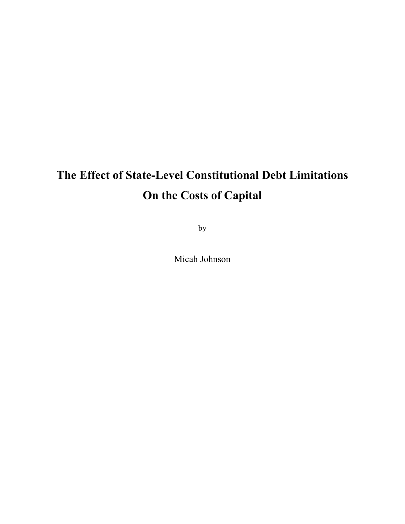# **The Effect of State-Level Constitutional Debt Limitations On the Costs of Capital**

by

Micah Johnson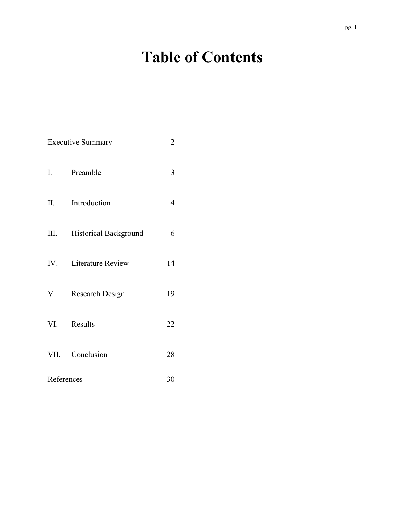# **Table of Contents**

| <b>Executive Summary</b> |                       |    |  |
|--------------------------|-----------------------|----|--|
| I.                       | Preamble              | 3  |  |
| II.                      | Introduction          | 4  |  |
| III.                     | Historical Background | 6  |  |
|                          | IV. Literature Review | 14 |  |
| V.                       | Research Design       | 19 |  |
| VI.                      | Results               | 22 |  |
|                          | VII. Conclusion       | 28 |  |
| References               | 30                    |    |  |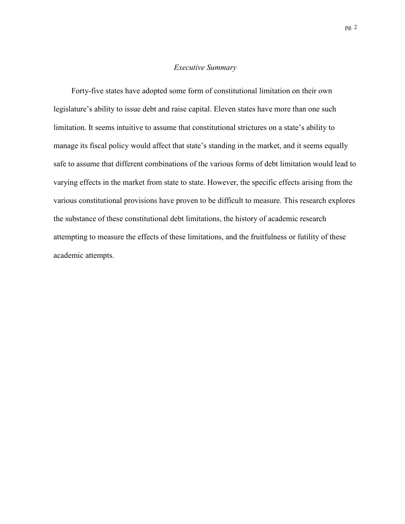#### *Executive Summary*

Forty-five states have adopted some form of constitutional limitation on their own legislature's ability to issue debt and raise capital. Eleven states have more than one such limitation. It seems intuitive to assume that constitutional strictures on a state's ability to manage its fiscal policy would affect that state's standing in the market, and it seems equally safe to assume that different combinations of the various forms of debt limitation would lead to varying effects in the market from state to state. However, the specific effects arising from the various constitutional provisions have proven to be difficult to measure. This research explores the substance of these constitutional debt limitations, the history of academic research attempting to measure the effects of these limitations, and the fruitfulness or futility of these academic attempts.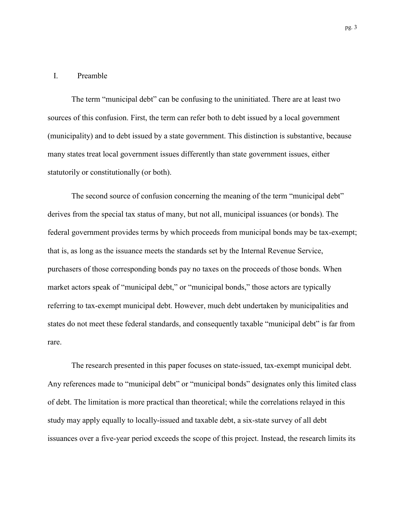#### I. Preamble

The term "municipal debt" can be confusing to the uninitiated. There are at least two sources of this confusion. First, the term can refer both to debt issued by a local government (municipality) and to debt issued by a state government. This distinction is substantive, because many states treat local government issues differently than state government issues, either statutorily or constitutionally (or both).

The second source of confusion concerning the meaning of the term "municipal debt" derives from the special tax status of many, but not all, municipal issuances (or bonds). The federal government provides terms by which proceeds from municipal bonds may be tax-exempt; that is, as long as the issuance meets the standards set by the Internal Revenue Service, purchasers of those corresponding bonds pay no taxes on the proceeds of those bonds. When market actors speak of "municipal debt," or "municipal bonds," those actors are typically referring to tax-exempt municipal debt. However, much debt undertaken by municipalities and states do not meet these federal standards, and consequently taxable "municipal debt" is far from rare.

The research presented in this paper focuses on state-issued, tax-exempt municipal debt. Any references made to "municipal debt" or "municipal bonds" designates only this limited class of debt. The limitation is more practical than theoretical; while the correlations relayed in this study may apply equally to locally-issued and taxable debt, a six-state survey of all debt issuances over a five-year period exceeds the scope of this project. Instead, the research limits its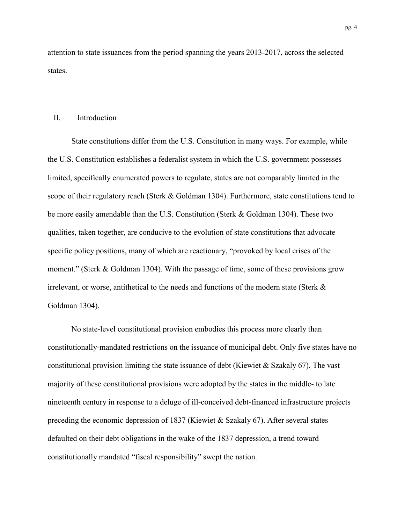attention to state issuances from the period spanning the years 2013-2017, across the selected states.

#### II. Introduction

State constitutions differ from the U.S. Constitution in many ways. For example, while the U.S. Constitution establishes a federalist system in which the U.S. government possesses limited, specifically enumerated powers to regulate, states are not comparably limited in the scope of their regulatory reach (Sterk & Goldman 1304). Furthermore, state constitutions tend to be more easily amendable than the U.S. Constitution (Sterk & Goldman 1304). These two qualities, taken together, are conducive to the evolution of state constitutions that advocate specific policy positions, many of which are reactionary, "provoked by local crises of the moment." (Sterk & Goldman 1304). With the passage of time, some of these provisions grow irrelevant, or worse, antithetical to the needs and functions of the modern state (Sterk & Goldman 1304).

No state-level constitutional provision embodies this process more clearly than constitutionally-mandated restrictions on the issuance of municipal debt. Only five states have no constitutional provision limiting the state issuance of debt (Kiewiet & Szakaly 67). The vast majority of these constitutional provisions were adopted by the states in the middle- to late nineteenth century in response to a deluge of ill-conceived debt-financed infrastructure projects preceding the economic depression of 1837 (Kiewiet & Szakaly 67). After several states defaulted on their debt obligations in the wake of the 1837 depression, a trend toward constitutionally mandated "fiscal responsibility" swept the nation.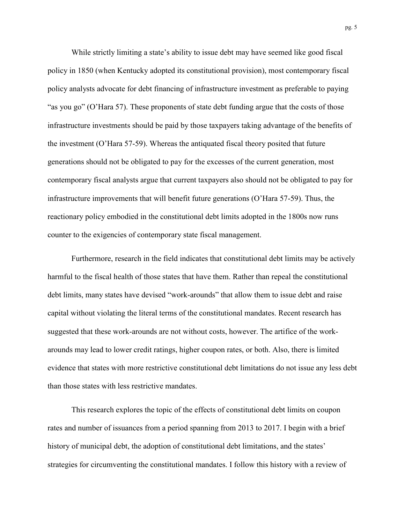While strictly limiting a state's ability to issue debt may have seemed like good fiscal policy in 1850 (when Kentucky adopted its constitutional provision), most contemporary fiscal policy analysts advocate for debt financing of infrastructure investment as preferable to paying "as you go" (O'Hara 57). These proponents of state debt funding argue that the costs of those infrastructure investments should be paid by those taxpayers taking advantage of the benefits of the investment (O'Hara 57-59). Whereas the antiquated fiscal theory posited that future generations should not be obligated to pay for the excesses of the current generation, most contemporary fiscal analysts argue that current taxpayers also should not be obligated to pay for infrastructure improvements that will benefit future generations (O'Hara 57-59). Thus, the reactionary policy embodied in the constitutional debt limits adopted in the 1800s now runs counter to the exigencies of contemporary state fiscal management.

Furthermore, research in the field indicates that constitutional debt limits may be actively harmful to the fiscal health of those states that have them. Rather than repeal the constitutional debt limits, many states have devised "work-arounds" that allow them to issue debt and raise capital without violating the literal terms of the constitutional mandates. Recent research has suggested that these work-arounds are not without costs, however. The artifice of the workarounds may lead to lower credit ratings, higher coupon rates, or both. Also, there is limited evidence that states with more restrictive constitutional debt limitations do not issue any less debt than those states with less restrictive mandates.

This research explores the topic of the effects of constitutional debt limits on coupon rates and number of issuances from a period spanning from 2013 to 2017. I begin with a brief history of municipal debt, the adoption of constitutional debt limitations, and the states' strategies for circumventing the constitutional mandates. I follow this history with a review of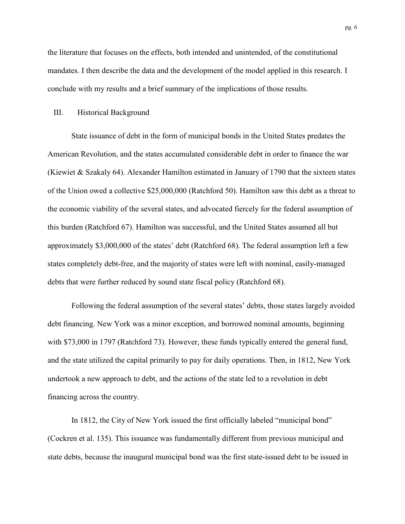the literature that focuses on the effects, both intended and unintended, of the constitutional mandates. I then describe the data and the development of the model applied in this research. I conclude with my results and a brief summary of the implications of those results.

#### III. Historical Background

State issuance of debt in the form of municipal bonds in the United States predates the American Revolution, and the states accumulated considerable debt in order to finance the war (Kiewiet & Szakaly 64). Alexander Hamilton estimated in January of 1790 that the sixteen states of the Union owed a collective \$25,000,000 (Ratchford 50). Hamilton saw this debt as a threat to the economic viability of the several states, and advocated fiercely for the federal assumption of this burden (Ratchford 67). Hamilton was successful, and the United States assumed all but approximately \$3,000,000 of the states' debt (Ratchford 68). The federal assumption left a few states completely debt-free, and the majority of states were left with nominal, easily-managed debts that were further reduced by sound state fiscal policy (Ratchford 68).

Following the federal assumption of the several states' debts, those states largely avoided debt financing. New York was a minor exception, and borrowed nominal amounts, beginning with \$73,000 in 1797 (Ratchford 73). However, these funds typically entered the general fund, and the state utilized the capital primarily to pay for daily operations. Then, in 1812, New York undertook a new approach to debt, and the actions of the state led to a revolution in debt financing across the country.

In 1812, the City of New York issued the first officially labeled "municipal bond" (Cockren et al. 135). This issuance was fundamentally different from previous municipal and state debts, because the inaugural municipal bond was the first state-issued debt to be issued in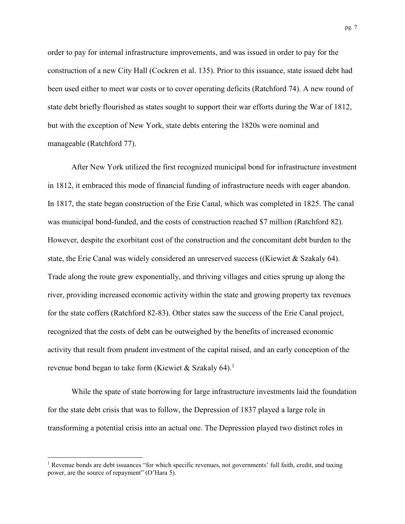order to pay for internal infrastructure improvements, and was issued in order to pay for the construction of a new City Hall (Cockren et al. 135). Prior to this issuance, state issued debt had been used either to meet war costs or to cover operating deficits (Ratchford 74). A new round of state debt briefly flourished as states sought to support their war efforts during the War of 1812, but with the exception of New York, state debts entering the 1820s were nominal and manageable (Ratchford 77).

After New York utilized the first recognized municipal bond for infrastructure investment in 1812, it embraced this mode of financial funding of infrastructure needs with eager abandon. In 1817, the state began construction of the Erie Canal, which was completed in 1825. The canal was municipal bond-funded, and the costs of construction reached \$7 million (Ratchford 82). However, despite the exorbitant cost of the construction and the concomitant debt burden to the state, the Erie Canal was widely considered an unreserved success ((Kiewiet & Szakaly 64). Trade along the route grew exponentially, and thriving villages and cities sprung up along the river, providing increased economic activity within the state and growing property tax revenues for the state coffers (Ratchford 82-83). Other states saw the success of the Erie Canal project, recognized that the costs of debt can be outweighed by the benefits of increased economic activity that result from prudent investment of the capital raised, and an early conception of the revenue bond began to take form (Kiewiet & Szakaly 64).<sup>1</sup>

While the spate of state borrowing for large infrastructure investments laid the foundation for the state debt crisis that was to follow, the Depression of 1837 played a large role in transforming a potential crisis into an actual one. The Depression played two distinct roles in

l

<sup>&</sup>lt;sup>1</sup> Revenue bonds are debt issuances "for which specific revenues, not governments' full faith, credit, and taxing power, are the source of repayment" (O'Hara 5).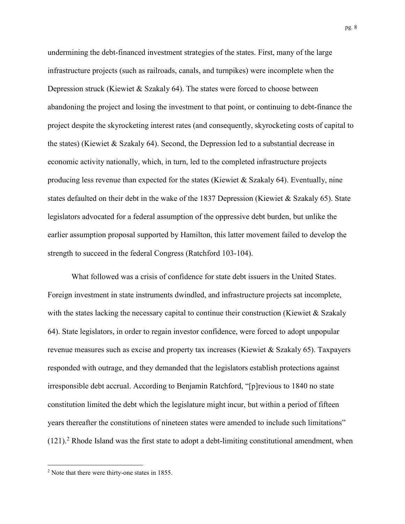undermining the debt-financed investment strategies of the states. First, many of the large infrastructure projects (such as railroads, canals, and turnpikes) were incomplete when the Depression struck (Kiewiet & Szakaly 64). The states were forced to choose between abandoning the project and losing the investment to that point, or continuing to debt-finance the project despite the skyrocketing interest rates (and consequently, skyrocketing costs of capital to the states) (Kiewiet & Szakaly 64). Second, the Depression led to a substantial decrease in economic activity nationally, which, in turn, led to the completed infrastructure projects producing less revenue than expected for the states (Kiewiet & Szakaly 64). Eventually, nine states defaulted on their debt in the wake of the 1837 Depression (Kiewiet & Szakaly 65). State legislators advocated for a federal assumption of the oppressive debt burden, but unlike the earlier assumption proposal supported by Hamilton, this latter movement failed to develop the strength to succeed in the federal Congress (Ratchford 103-104).

What followed was a crisis of confidence for state debt issuers in the United States. Foreign investment in state instruments dwindled, and infrastructure projects sat incomplete, with the states lacking the necessary capital to continue their construction (Kiewiet & Szakaly 64). State legislators, in order to regain investor confidence, were forced to adopt unpopular revenue measures such as excise and property tax increases (Kiewiet & Szakaly 65). Taxpayers responded with outrage, and they demanded that the legislators establish protections against irresponsible debt accrual. According to Benjamin Ratchford, "[p]revious to 1840 no state constitution limited the debt which the legislature might incur, but within a period of fifteen years thereafter the constitutions of nineteen states were amended to include such limitations"  $(121).<sup>2</sup>$  Rhode Island was the first state to adopt a debt-limiting constitutional amendment, when

l

 $2$  Note that there were thirty-one states in 1855.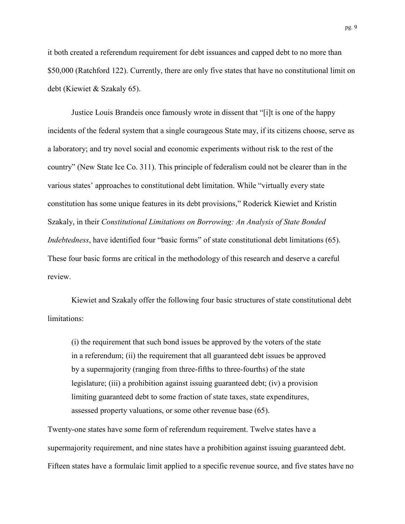it both created a referendum requirement for debt issuances and capped debt to no more than \$50,000 (Ratchford 122). Currently, there are only five states that have no constitutional limit on debt (Kiewiet & Szakaly 65).

Justice Louis Brandeis once famously wrote in dissent that "[i]t is one of the happy incidents of the federal system that a single courageous State may, if its citizens choose, serve as a laboratory; and try novel social and economic experiments without risk to the rest of the country" (New State Ice Co. 311). This principle of federalism could not be clearer than in the various states' approaches to constitutional debt limitation. While "virtually every state constitution has some unique features in its debt provisions," Roderick Kiewiet and Kristin Szakaly, in their *Constitutional Limitations on Borrowing: An Analysis of State Bonded Indebtedness*, have identified four "basic forms" of state constitutional debt limitations (65). These four basic forms are critical in the methodology of this research and deserve a careful review.

Kiewiet and Szakaly offer the following four basic structures of state constitutional debt limitations:

(i) the requirement that such bond issues be approved by the voters of the state in a referendum; (ii) the requirement that all guaranteed debt issues be approved by a supermajority (ranging from three-fifths to three-fourths) of the state legislature; (iii) a prohibition against issuing guaranteed debt; (iv) a provision limiting guaranteed debt to some fraction of state taxes, state expenditures, assessed property valuations, or some other revenue base (65).

Twenty-one states have some form of referendum requirement. Twelve states have a supermajority requirement, and nine states have a prohibition against issuing guaranteed debt. Fifteen states have a formulaic limit applied to a specific revenue source, and five states have no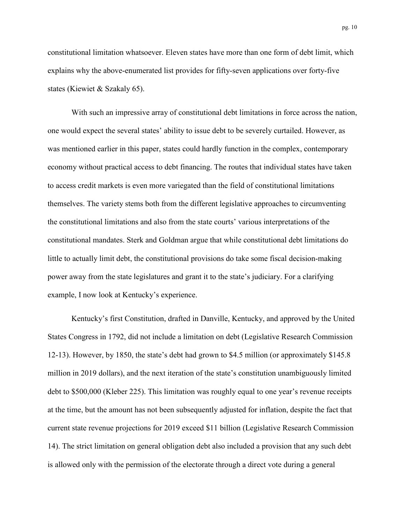constitutional limitation whatsoever. Eleven states have more than one form of debt limit, which explains why the above-enumerated list provides for fifty-seven applications over forty-five states (Kiewiet & Szakaly 65).

With such an impressive array of constitutional debt limitations in force across the nation, one would expect the several states' ability to issue debt to be severely curtailed. However, as was mentioned earlier in this paper, states could hardly function in the complex, contemporary economy without practical access to debt financing. The routes that individual states have taken to access credit markets is even more variegated than the field of constitutional limitations themselves. The variety stems both from the different legislative approaches to circumventing the constitutional limitations and also from the state courts' various interpretations of the constitutional mandates. Sterk and Goldman argue that while constitutional debt limitations do little to actually limit debt, the constitutional provisions do take some fiscal decision-making power away from the state legislatures and grant it to the state's judiciary. For a clarifying example, I now look at Kentucky's experience.

Kentucky's first Constitution, drafted in Danville, Kentucky, and approved by the United States Congress in 1792, did not include a limitation on debt (Legislative Research Commission 12-13). However, by 1850, the state's debt had grown to \$4.5 million (or approximately \$145.8 million in 2019 dollars), and the next iteration of the state's constitution unambiguously limited debt to \$500,000 (Kleber 225). This limitation was roughly equal to one year's revenue receipts at the time, but the amount has not been subsequently adjusted for inflation, despite the fact that current state revenue projections for 2019 exceed \$11 billion (Legislative Research Commission 14). The strict limitation on general obligation debt also included a provision that any such debt is allowed only with the permission of the electorate through a direct vote during a general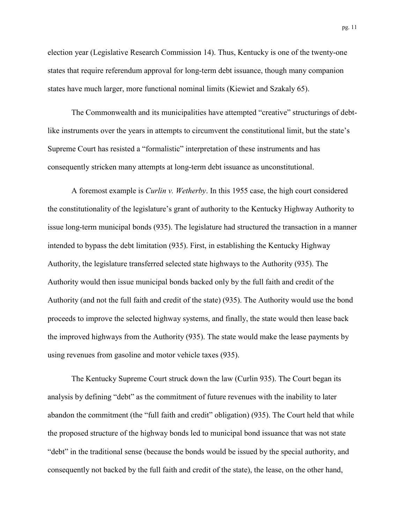election year (Legislative Research Commission 14). Thus, Kentucky is one of the twenty-one states that require referendum approval for long-term debt issuance, though many companion states have much larger, more functional nominal limits (Kiewiet and Szakaly 65).

The Commonwealth and its municipalities have attempted "creative" structurings of debtlike instruments over the years in attempts to circumvent the constitutional limit, but the state's Supreme Court has resisted a "formalistic" interpretation of these instruments and has consequently stricken many attempts at long-term debt issuance as unconstitutional.

A foremost example is *Curlin v. Wetherby*. In this 1955 case, the high court considered the constitutionality of the legislature's grant of authority to the Kentucky Highway Authority to issue long-term municipal bonds (935). The legislature had structured the transaction in a manner intended to bypass the debt limitation (935). First, in establishing the Kentucky Highway Authority, the legislature transferred selected state highways to the Authority (935). The Authority would then issue municipal bonds backed only by the full faith and credit of the Authority (and not the full faith and credit of the state) (935). The Authority would use the bond proceeds to improve the selected highway systems, and finally, the state would then lease back the improved highways from the Authority (935). The state would make the lease payments by using revenues from gasoline and motor vehicle taxes (935).

The Kentucky Supreme Court struck down the law (Curlin 935). The Court began its analysis by defining "debt" as the commitment of future revenues with the inability to later abandon the commitment (the "full faith and credit" obligation) (935). The Court held that while the proposed structure of the highway bonds led to municipal bond issuance that was not state "debt" in the traditional sense (because the bonds would be issued by the special authority, and consequently not backed by the full faith and credit of the state), the lease, on the other hand,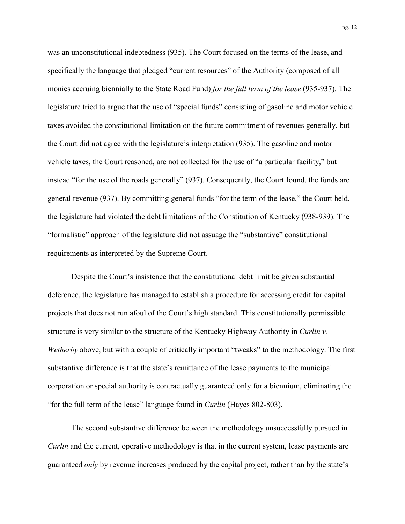was an unconstitutional indebtedness (935). The Court focused on the terms of the lease, and specifically the language that pledged "current resources" of the Authority (composed of all monies accruing biennially to the State Road Fund) *for the full term of the lease* (935-937). The legislature tried to argue that the use of "special funds" consisting of gasoline and motor vehicle taxes avoided the constitutional limitation on the future commitment of revenues generally, but the Court did not agree with the legislature's interpretation (935). The gasoline and motor vehicle taxes, the Court reasoned, are not collected for the use of "a particular facility," but instead "for the use of the roads generally" (937). Consequently, the Court found, the funds are general revenue (937). By committing general funds "for the term of the lease," the Court held, the legislature had violated the debt limitations of the Constitution of Kentucky (938-939). The "formalistic" approach of the legislature did not assuage the "substantive" constitutional requirements as interpreted by the Supreme Court.

Despite the Court's insistence that the constitutional debt limit be given substantial deference, the legislature has managed to establish a procedure for accessing credit for capital projects that does not run afoul of the Court's high standard. This constitutionally permissible structure is very similar to the structure of the Kentucky Highway Authority in *Curlin v. Wetherby* above, but with a couple of critically important "tweaks" to the methodology. The first substantive difference is that the state's remittance of the lease payments to the municipal corporation or special authority is contractually guaranteed only for a biennium, eliminating the "for the full term of the lease" language found in *Curlin* (Hayes 802-803).

The second substantive difference between the methodology unsuccessfully pursued in *Curlin* and the current, operative methodology is that in the current system, lease payments are guaranteed *only* by revenue increases produced by the capital project, rather than by the state's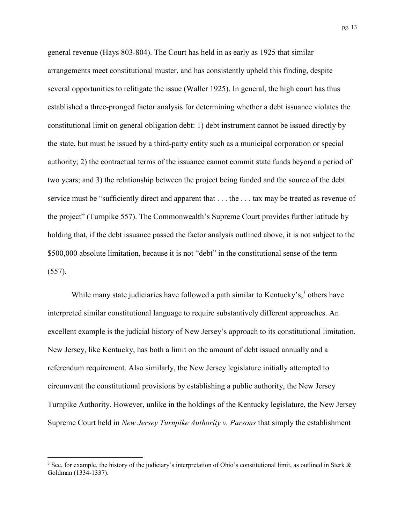general revenue (Hays 803-804). The Court has held in as early as 1925 that similar arrangements meet constitutional muster, and has consistently upheld this finding, despite several opportunities to relitigate the issue (Waller 1925). In general, the high court has thus established a three-pronged factor analysis for determining whether a debt issuance violates the constitutional limit on general obligation debt: 1) debt instrument cannot be issued directly by the state, but must be issued by a third-party entity such as a municipal corporation or special authority; 2) the contractual terms of the issuance cannot commit state funds beyond a period of two years; and 3) the relationship between the project being funded and the source of the debt service must be "sufficiently direct and apparent that . . . the . . . tax may be treated as revenue of the project" (Turnpike 557). The Commonwealth's Supreme Court provides further latitude by holding that, if the debt issuance passed the factor analysis outlined above, it is not subject to the \$500,000 absolute limitation, because it is not "debt" in the constitutional sense of the term (557).

While many state judiciaries have followed a path similar to Kentucky's,<sup>3</sup> others have interpreted similar constitutional language to require substantively different approaches. An excellent example is the judicial history of New Jersey's approach to its constitutional limitation. New Jersey, like Kentucky, has both a limit on the amount of debt issued annually and a referendum requirement. Also similarly, the New Jersey legislature initially attempted to circumvent the constitutional provisions by establishing a public authority, the New Jersey Turnpike Authority. However, unlike in the holdings of the Kentucky legislature, the New Jersey Supreme Court held in *New Jersey Turnpike Authority v. Parsons* that simply the establishment

l

<sup>&</sup>lt;sup>3</sup> See, for example, the history of the judiciary's interpretation of Ohio's constitutional limit, as outlined in Sterk  $\&$ Goldman (1334-1337).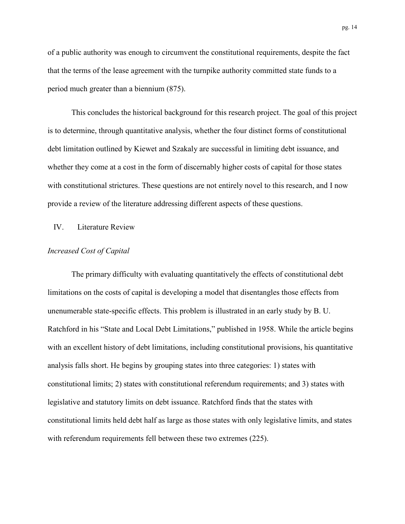of a public authority was enough to circumvent the constitutional requirements, despite the fact that the terms of the lease agreement with the turnpike authority committed state funds to a period much greater than a biennium (875).

This concludes the historical background for this research project. The goal of this project is to determine, through quantitative analysis, whether the four distinct forms of constitutional debt limitation outlined by Kiewet and Szakaly are successful in limiting debt issuance, and whether they come at a cost in the form of discernably higher costs of capital for those states with constitutional strictures. These questions are not entirely novel to this research, and I now provide a review of the literature addressing different aspects of these questions.

# IV. Literature Review

## *Increased Cost of Capital*

The primary difficulty with evaluating quantitatively the effects of constitutional debt limitations on the costs of capital is developing a model that disentangles those effects from unenumerable state-specific effects. This problem is illustrated in an early study by B. U. Ratchford in his "State and Local Debt Limitations," published in 1958. While the article begins with an excellent history of debt limitations, including constitutional provisions, his quantitative analysis falls short. He begins by grouping states into three categories: 1) states with constitutional limits; 2) states with constitutional referendum requirements; and 3) states with legislative and statutory limits on debt issuance. Ratchford finds that the states with constitutional limits held debt half as large as those states with only legislative limits, and states with referendum requirements fell between these two extremes (225).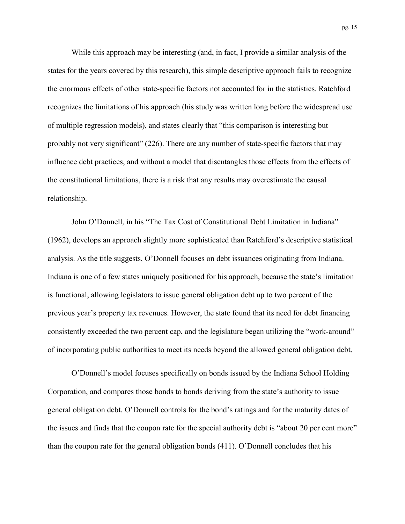While this approach may be interesting (and, in fact, I provide a similar analysis of the states for the years covered by this research), this simple descriptive approach fails to recognize the enormous effects of other state-specific factors not accounted for in the statistics. Ratchford recognizes the limitations of his approach (his study was written long before the widespread use of multiple regression models), and states clearly that "this comparison is interesting but probably not very significant" (226). There are any number of state-specific factors that may influence debt practices, and without a model that disentangles those effects from the effects of the constitutional limitations, there is a risk that any results may overestimate the causal relationship.

John O'Donnell, in his "The Tax Cost of Constitutional Debt Limitation in Indiana" (1962), develops an approach slightly more sophisticated than Ratchford's descriptive statistical analysis. As the title suggests, O'Donnell focuses on debt issuances originating from Indiana. Indiana is one of a few states uniquely positioned for his approach, because the state's limitation is functional, allowing legislators to issue general obligation debt up to two percent of the previous year's property tax revenues. However, the state found that its need for debt financing consistently exceeded the two percent cap, and the legislature began utilizing the "work-around" of incorporating public authorities to meet its needs beyond the allowed general obligation debt.

O'Donnell's model focuses specifically on bonds issued by the Indiana School Holding Corporation, and compares those bonds to bonds deriving from the state's authority to issue general obligation debt. O'Donnell controls for the bond's ratings and for the maturity dates of the issues and finds that the coupon rate for the special authority debt is "about 20 per cent more" than the coupon rate for the general obligation bonds (411). O'Donnell concludes that his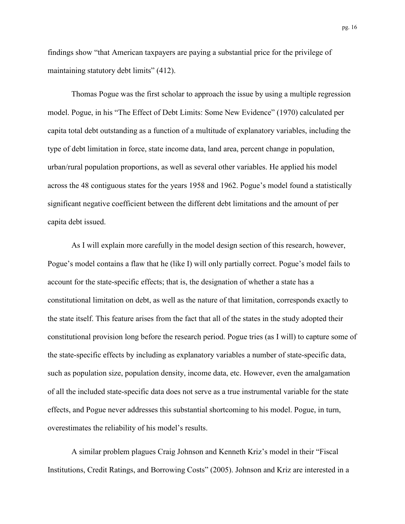findings show "that American taxpayers are paying a substantial price for the privilege of maintaining statutory debt limits" (412).

Thomas Pogue was the first scholar to approach the issue by using a multiple regression model. Pogue, in his "The Effect of Debt Limits: Some New Evidence" (1970) calculated per capita total debt outstanding as a function of a multitude of explanatory variables, including the type of debt limitation in force, state income data, land area, percent change in population, urban/rural population proportions, as well as several other variables. He applied his model across the 48 contiguous states for the years 1958 and 1962. Pogue's model found a statistically significant negative coefficient between the different debt limitations and the amount of per capita debt issued.

As I will explain more carefully in the model design section of this research, however, Pogue's model contains a flaw that he (like I) will only partially correct. Pogue's model fails to account for the state-specific effects; that is, the designation of whether a state has a constitutional limitation on debt, as well as the nature of that limitation, corresponds exactly to the state itself. This feature arises from the fact that all of the states in the study adopted their constitutional provision long before the research period. Pogue tries (as I will) to capture some of the state-specific effects by including as explanatory variables a number of state-specific data, such as population size, population density, income data, etc. However, even the amalgamation of all the included state-specific data does not serve as a true instrumental variable for the state effects, and Pogue never addresses this substantial shortcoming to his model. Pogue, in turn, overestimates the reliability of his model's results.

A similar problem plagues Craig Johnson and Kenneth Kriz's model in their "Fiscal Institutions, Credit Ratings, and Borrowing Costs" (2005). Johnson and Kriz are interested in a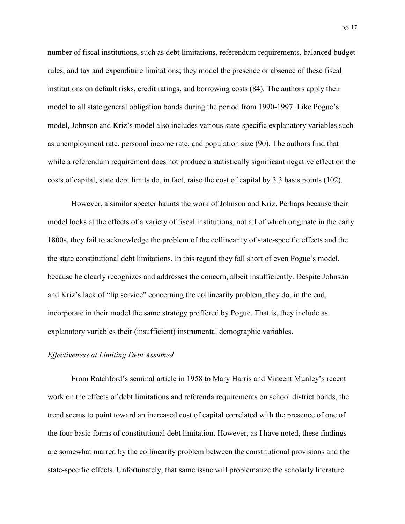number of fiscal institutions, such as debt limitations, referendum requirements, balanced budget rules, and tax and expenditure limitations; they model the presence or absence of these fiscal institutions on default risks, credit ratings, and borrowing costs (84). The authors apply their model to all state general obligation bonds during the period from 1990-1997. Like Pogue's model, Johnson and Kriz's model also includes various state-specific explanatory variables such as unemployment rate, personal income rate, and population size (90). The authors find that while a referendum requirement does not produce a statistically significant negative effect on the costs of capital, state debt limits do, in fact, raise the cost of capital by 3.3 basis points (102).

However, a similar specter haunts the work of Johnson and Kriz. Perhaps because their model looks at the effects of a variety of fiscal institutions, not all of which originate in the early 1800s, they fail to acknowledge the problem of the collinearity of state-specific effects and the the state constitutional debt limitations. In this regard they fall short of even Pogue's model, because he clearly recognizes and addresses the concern, albeit insufficiently. Despite Johnson and Kriz's lack of "lip service" concerning the collinearity problem, they do, in the end, incorporate in their model the same strategy proffered by Pogue. That is, they include as explanatory variables their (insufficient) instrumental demographic variables.

#### *Effectiveness at Limiting Debt Assumed*

From Ratchford's seminal article in 1958 to Mary Harris and Vincent Munley's recent work on the effects of debt limitations and referenda requirements on school district bonds, the trend seems to point toward an increased cost of capital correlated with the presence of one of the four basic forms of constitutional debt limitation. However, as I have noted, these findings are somewhat marred by the collinearity problem between the constitutional provisions and the state-specific effects. Unfortunately, that same issue will problematize the scholarly literature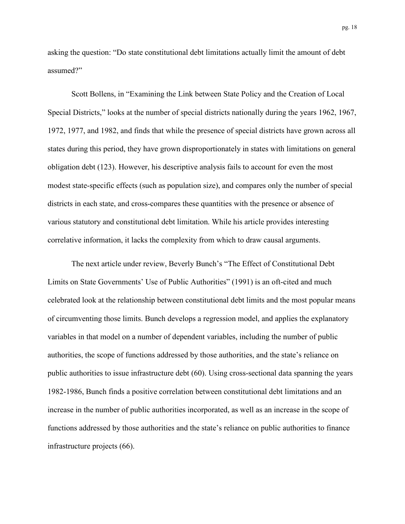asking the question: "Do state constitutional debt limitations actually limit the amount of debt assumed?"

Scott Bollens, in "Examining the Link between State Policy and the Creation of Local Special Districts," looks at the number of special districts nationally during the years 1962, 1967, 1972, 1977, and 1982, and finds that while the presence of special districts have grown across all states during this period, they have grown disproportionately in states with limitations on general obligation debt (123). However, his descriptive analysis fails to account for even the most modest state-specific effects (such as population size), and compares only the number of special districts in each state, and cross-compares these quantities with the presence or absence of various statutory and constitutional debt limitation. While his article provides interesting correlative information, it lacks the complexity from which to draw causal arguments.

The next article under review, Beverly Bunch's "The Effect of Constitutional Debt Limits on State Governments' Use of Public Authorities" (1991) is an oft-cited and much celebrated look at the relationship between constitutional debt limits and the most popular means of circumventing those limits. Bunch develops a regression model, and applies the explanatory variables in that model on a number of dependent variables, including the number of public authorities, the scope of functions addressed by those authorities, and the state's reliance on public authorities to issue infrastructure debt (60). Using cross-sectional data spanning the years 1982-1986, Bunch finds a positive correlation between constitutional debt limitations and an increase in the number of public authorities incorporated, as well as an increase in the scope of functions addressed by those authorities and the state's reliance on public authorities to finance infrastructure projects (66).

pg. 18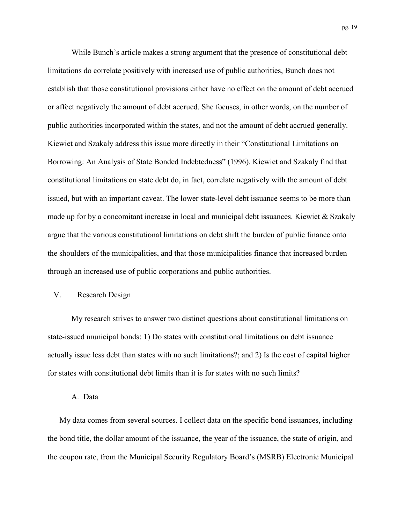While Bunch's article makes a strong argument that the presence of constitutional debt limitations do correlate positively with increased use of public authorities, Bunch does not establish that those constitutional provisions either have no effect on the amount of debt accrued or affect negatively the amount of debt accrued. She focuses, in other words, on the number of public authorities incorporated within the states, and not the amount of debt accrued generally. Kiewiet and Szakaly address this issue more directly in their "Constitutional Limitations on Borrowing: An Analysis of State Bonded Indebtedness" (1996). Kiewiet and Szakaly find that constitutional limitations on state debt do, in fact, correlate negatively with the amount of debt issued, but with an important caveat. The lower state-level debt issuance seems to be more than made up for by a concomitant increase in local and municipal debt issuances. Kiewiet & Szakaly argue that the various constitutional limitations on debt shift the burden of public finance onto the shoulders of the municipalities, and that those municipalities finance that increased burden through an increased use of public corporations and public authorities.

# V. Research Design

My research strives to answer two distinct questions about constitutional limitations on state-issued municipal bonds: 1) Do states with constitutional limitations on debt issuance actually issue less debt than states with no such limitations?; and 2) Is the cost of capital higher for states with constitutional debt limits than it is for states with no such limits?

## A. Data

My data comes from several sources. I collect data on the specific bond issuances, including the bond title, the dollar amount of the issuance, the year of the issuance, the state of origin, and the coupon rate, from the Municipal Security Regulatory Board's (MSRB) Electronic Municipal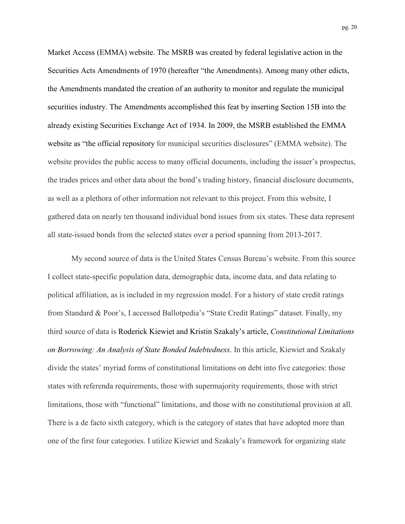Market Access (EMMA) website. The MSRB was created by federal legislative action in the Securities Acts Amendments of 1970 (hereafter "the Amendments). Among many other edicts, the Amendments mandated the creation of an authority to monitor and regulate the municipal securities industry. The Amendments accomplished this feat by inserting Section 15B into the already existing Securities Exchange Act of 1934. In 2009, the MSRB established the EMMA website as "the official repository for municipal securities disclosures" (EMMA website). The website provides the public access to many official documents, including the issuer's prospectus, the trades prices and other data about the bond's trading history, financial disclosure documents, as well as a plethora of other information not relevant to this project. From this website, I gathered data on nearly ten thousand individual bond issues from six states. These data represent all state-issued bonds from the selected states over a period spanning from 2013-2017.

My second source of data is the United States Census Bureau's website. From this source I collect state-specific population data, demographic data, income data, and data relating to political affiliation, as is included in my regression model. For a history of state credit ratings from Standard & Poor's, I accessed Ballotpedia's "State Credit Ratings" dataset. Finally, my third source of data is Roderick Kiewiet and Kristin Szakaly's article, *Constitutional Limitations on Borrowing: An Analysis of State Bonded Indebtedness*. In this article, Kiewiet and Szakaly divide the states' myriad forms of constitutional limitations on debt into five categories: those states with referenda requirements, those with supermajority requirements, those with strict limitations, those with "functional" limitations, and those with no constitutional provision at all. There is a de facto sixth category, which is the category of states that have adopted more than one of the first four categories. I utilize Kiewiet and Szakaly's framework for organizing state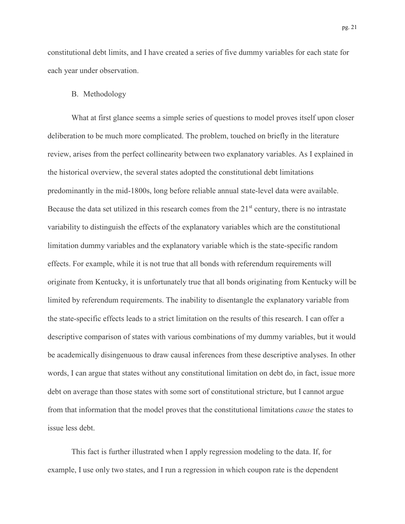constitutional debt limits, and I have created a series of five dummy variables for each state for each year under observation.

## B. Methodology

What at first glance seems a simple series of questions to model proves itself upon closer deliberation to be much more complicated. The problem, touched on briefly in the literature review, arises from the perfect collinearity between two explanatory variables. As I explained in the historical overview, the several states adopted the constitutional debt limitations predominantly in the mid-1800s, long before reliable annual state-level data were available. Because the data set utilized in this research comes from the  $21<sup>st</sup>$  century, there is no intrastate variability to distinguish the effects of the explanatory variables which are the constitutional limitation dummy variables and the explanatory variable which is the state-specific random effects. For example, while it is not true that all bonds with referendum requirements will originate from Kentucky, it is unfortunately true that all bonds originating from Kentucky will be limited by referendum requirements. The inability to disentangle the explanatory variable from the state-specific effects leads to a strict limitation on the results of this research. I can offer a descriptive comparison of states with various combinations of my dummy variables, but it would be academically disingenuous to draw causal inferences from these descriptive analyses. In other words, I can argue that states without any constitutional limitation on debt do, in fact, issue more debt on average than those states with some sort of constitutional stricture, but I cannot argue from that information that the model proves that the constitutional limitations *cause* the states to issue less debt.

This fact is further illustrated when I apply regression modeling to the data. If, for example, I use only two states, and I run a regression in which coupon rate is the dependent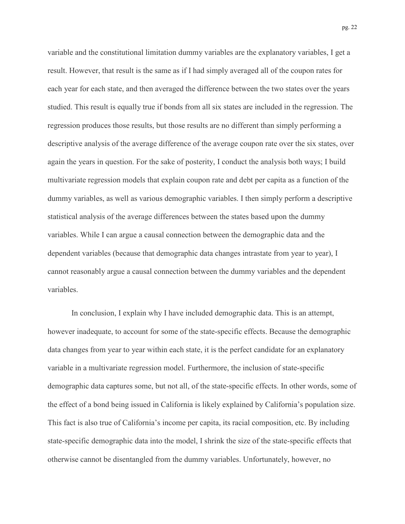variable and the constitutional limitation dummy variables are the explanatory variables, I get a result. However, that result is the same as if I had simply averaged all of the coupon rates for each year for each state, and then averaged the difference between the two states over the years studied. This result is equally true if bonds from all six states are included in the regression. The regression produces those results, but those results are no different than simply performing a descriptive analysis of the average difference of the average coupon rate over the six states, over again the years in question. For the sake of posterity, I conduct the analysis both ways; I build multivariate regression models that explain coupon rate and debt per capita as a function of the dummy variables, as well as various demographic variables. I then simply perform a descriptive statistical analysis of the average differences between the states based upon the dummy variables. While I can argue a causal connection between the demographic data and the dependent variables (because that demographic data changes intrastate from year to year), I cannot reasonably argue a causal connection between the dummy variables and the dependent variables.

In conclusion, I explain why I have included demographic data. This is an attempt, however inadequate, to account for some of the state-specific effects. Because the demographic data changes from year to year within each state, it is the perfect candidate for an explanatory variable in a multivariate regression model. Furthermore, the inclusion of state-specific demographic data captures some, but not all, of the state-specific effects. In other words, some of the effect of a bond being issued in California is likely explained by California's population size. This fact is also true of California's income per capita, its racial composition, etc. By including state-specific demographic data into the model, I shrink the size of the state-specific effects that otherwise cannot be disentangled from the dummy variables. Unfortunately, however, no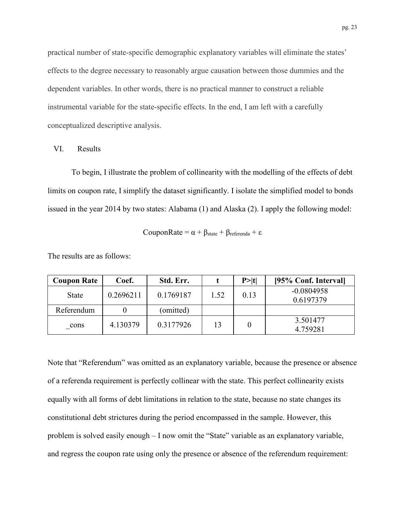practical number of state-specific demographic explanatory variables will eliminate the states' effects to the degree necessary to reasonably argue causation between those dummies and the dependent variables. In other words, there is no practical manner to construct a reliable instrumental variable for the state-specific effects. In the end, I am left with a carefully conceptualized descriptive analysis.

VI. Results

To begin, I illustrate the problem of collinearity with the modelling of the effects of debt limits on coupon rate, I simplify the dataset significantly. I isolate the simplified model to bonds issued in the year 2014 by two states: Alabama (1) and Alaska (2). I apply the following model:

$$
CouponRate = \alpha + \beta_{state} + \beta_{reference}
$$

The results are as follows:

| <b>Coupon Rate</b> | Coef.     | Std. Err. |      | P >  t | [95% Conf. Interval]      |
|--------------------|-----------|-----------|------|--------|---------------------------|
| <b>State</b>       | 0.2696211 | 0.1769187 | 1.52 | 0.13   | $-0.0804958$<br>0.6197379 |
| Referendum         |           | (omitted) |      |        |                           |
| cons               | 4.130379  | 0.3177926 | 13   |        | 3.501477<br>4.759281      |

Note that "Referendum" was omitted as an explanatory variable, because the presence or absence of a referenda requirement is perfectly collinear with the state. This perfect collinearity exists equally with all forms of debt limitations in relation to the state, because no state changes its constitutional debt strictures during the period encompassed in the sample. However, this problem is solved easily enough – I now omit the "State" variable as an explanatory variable, and regress the coupon rate using only the presence or absence of the referendum requirement: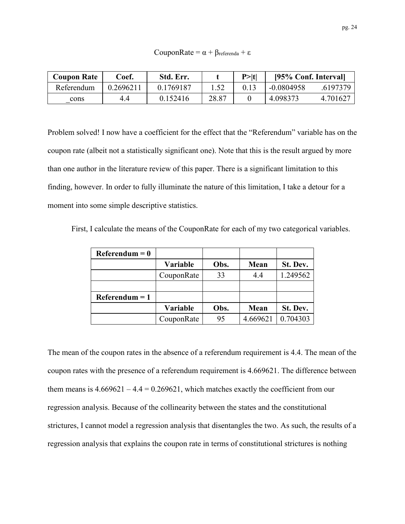CouponRate =  $\alpha + \beta_{\text{referenda}} + \varepsilon$ 

| <b>Coupon Rate</b> | ∑oef.     | Std. Err. |       | P >  t | [95% Conf. Interval] |          |
|--------------------|-----------|-----------|-------|--------|----------------------|----------|
| Referendum         | 0.2696211 | 0.1769187 |       |        | $-0.0804958$         | .6197379 |
| cons               | 4.4       | 0.152416  | 28.87 |        | 4.098373             | 4.701627 |

Problem solved! I now have a coefficient for the effect that the "Referendum" variable has on the coupon rate (albeit not a statistically significant one). Note that this is the result argued by more than one author in the literature review of this paper. There is a significant limitation to this finding, however. In order to fully illuminate the nature of this limitation, I take a detour for a moment into some simple descriptive statistics.

First, I calculate the means of the CouponRate for each of my two categorical variables.

| $Referendum = 0$ |            |      |          |          |
|------------------|------------|------|----------|----------|
|                  | Variable   | Obs. | Mean     | St. Dev. |
|                  | CouponRate | 33   | 4.4      | 1.249562 |
|                  |            |      |          |          |
| $Referendum = 1$ |            |      |          |          |
|                  | Variable   | Obs. | Mean     | St. Dev. |
|                  | CouponRate | 95   | 4.669621 | 0.704303 |

The mean of the coupon rates in the absence of a referendum requirement is 4.4. The mean of the coupon rates with the presence of a referendum requirement is 4.669621. The difference between them means is  $4.669621 - 4.4 = 0.269621$ , which matches exactly the coefficient from our regression analysis. Because of the collinearity between the states and the constitutional strictures, I cannot model a regression analysis that disentangles the two. As such, the results of a regression analysis that explains the coupon rate in terms of constitutional strictures is nothing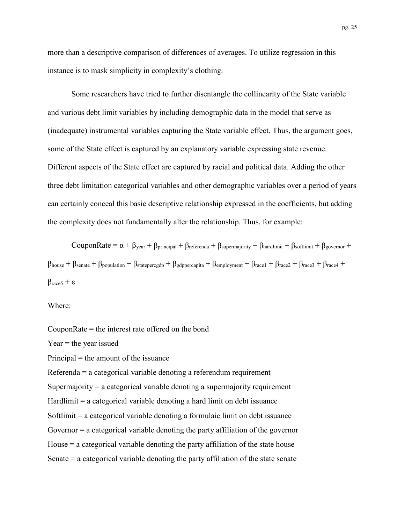more than a descriptive comparison of differences of averages. To utilize regression in this instance is to mask simplicity in complexity's clothing.

Some researchers have tried to further disentangle the collinearity of the State variable and various debt limit variables by including demographic data in the model that serve as (inadequate) instrumental variables capturing the State variable effect. Thus, the argument goes, some of the State effect is captured by an explanatory variable expressing state revenue. Different aspects of the State effect are captured by racial and political data. Adding the other three debt limitation categorical variables and other demographic variables over a period of years can certainly conceal this basic descriptive relationship expressed in the coefficients, but adding the complexity does not fundamentally alter the relationship. Thus, for example:

CouponRate =  $\alpha + \beta_{\text{year}} + \beta_{\text{principal}} + \beta_{\text{reference}} + \beta_{\text{supermajority}} + \beta_{\text{hardware}} + \beta_{\text{softmax}} + \beta_{\text{gevernor}} + \beta_{\text{average}}$  $\beta_{\text{house}} + \beta_{\text{senate}} + \beta_{\text{population}} + \beta_{\text{statepercgdp}} + \beta_{\text{gdppercapita}} + \beta_{\text{emplogment}} + \beta_{\text{race1}} + \beta_{\text{race2}} + \beta_{\text{race3}} + \beta_{\text{race4}} + \beta_{\text{race5}} + \beta_{\text{race6}} + \beta_{\text{race7}} + \beta_{\text{race7}} + \beta_{\text{race8}} + \beta_{\text{race9}} + \beta_{\text{race1}} + \beta_{\text{race3}} + \beta_{\text{race4}} + \beta_{\text{race7}} + \beta_{\text{race8}} + \beta_{\$  $β<sub>race5</sub> + ε$ 

Where:

CouponRate = the interest rate offered on the bond

 $Year =$  the year issued

Principal = the amount of the issuance

Referenda = a categorical variable denoting a referendum requirement

Supermajority = a categorical variable denoting a supermajority requirement

Hardlimit  $=$  a categorical variable denoting a hard limit on debt issuance

Softlimit  $=$  a categorical variable denoting a formulaic limit on debt issuance

Governor = a categorical variable denoting the party affiliation of the governor

House = a categorical variable denoting the party affiliation of the state house

Senate = a categorical variable denoting the party affiliation of the state senate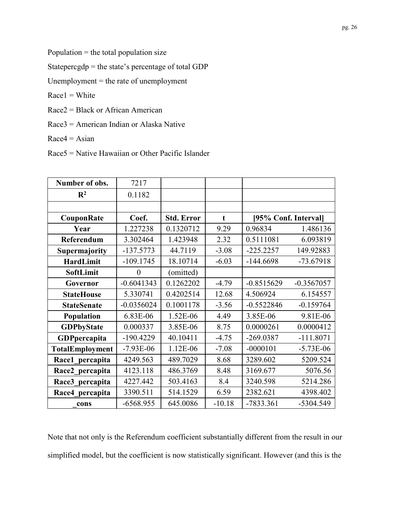Population = the total population size

Statepercgdp = the state's percentage of total GDP

Unemployment = the rate of unemployment

 $Race1 = White$ 

Race2 = Black or African American

Race3 = American Indian or Alaska Native

 $Race4 = Asian$ 

Race5 = Native Hawaiian or Other Pacific Islander

| Number of obs.         | 7217           |                   |             |              |                      |
|------------------------|----------------|-------------------|-------------|--------------|----------------------|
| $\mathbf{R}^2$         | 0.1182         |                   |             |              |                      |
|                        |                |                   |             |              |                      |
| CouponRate             | Coef.          | <b>Std. Error</b> | $\mathbf t$ |              | [95% Conf. Interval] |
| Year                   | 1.227238       | 0.1320712         | 9.29        | 0.96834      | 1.486136             |
| Referendum             | 3.302464       | 1.423948          | 2.32        | 0.5111081    | 6.093819             |
| Supermajority          | $-137.5773$    | 44.7119           | $-3.08$     | $-225.2257$  | 149.92883            |
| HardLimit              | $-109.1745$    | 18.10714          | $-6.03$     | $-144.6698$  | $-73.67918$          |
| SoftLimit              | $\overline{0}$ | (omitted)         |             |              |                      |
| Governor               | $-0.6041343$   | 0.1262202         | $-4.79$     | $-0.8515629$ | $-0.3567057$         |
| <b>StateHouse</b>      | 5.330741       | 0.4202514         | 12.68       | 4.506924     | 6.154557             |
| <b>StateSenate</b>     | $-0.0356024$   | 0.1001178         | $-3.56$     | $-0.5522846$ | $-0.159764$          |
| Population             | 6.83E-06       | 1.52E-06          | 4.49        | 3.85E-06     | 9.81E-06             |
| <b>GDPbyState</b>      | 0.000337       | 3.85E-06          | 8.75        | 0.0000261    | 0.0000412            |
| GDPpercapita           | $-190.4229$    | 40.10411          | $-4.75$     | $-269.0387$  | $-111.8071$          |
| <b>TotalEmployment</b> | $-7.93E-06$    | 1.12E-06          | $-7.08$     | $-0000101$   | $-5.73E-06$          |
| Race1 percapita        | 4249.563       | 489.7029          | 8.68        | 3289.602     | 5209.524             |
| Race2 percapita        | 4123.118       | 486.3769          | 8.48        | 3169.677     | 5076.56              |
| Race3 percapita        | 4227.442       | 503.4163          | 8.4         | 3240.598     | 5214.286             |
| Race4 percapita        | 3390.511       | 514.1529          | 6.59        | 2382.621     | 4398.402             |
| cons                   | $-6568.955$    | 645.0086          | $-10.18$    | -7833.361    | -5304.549            |

Note that not only is the Referendum coefficient substantially different from the result in our simplified model, but the coefficient is now statistically significant. However (and this is the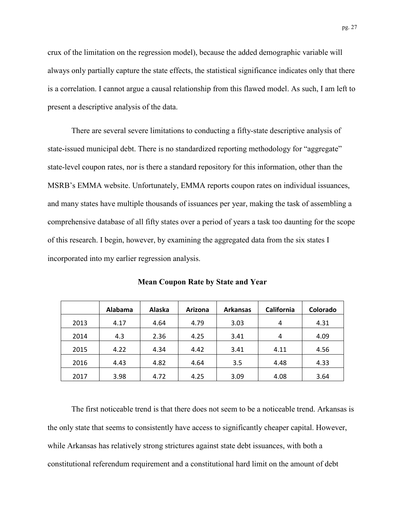crux of the limitation on the regression model), because the added demographic variable will always only partially capture the state effects, the statistical significance indicates only that there is a correlation. I cannot argue a causal relationship from this flawed model. As such, I am left to present a descriptive analysis of the data.

There are several severe limitations to conducting a fifty-state descriptive analysis of state-issued municipal debt. There is no standardized reporting methodology for "aggregate" state-level coupon rates, nor is there a standard repository for this information, other than the MSRB's EMMA website. Unfortunately, EMMA reports coupon rates on individual issuances, and many states have multiple thousands of issuances per year, making the task of assembling a comprehensive database of all fifty states over a period of years a task too daunting for the scope of this research. I begin, however, by examining the aggregated data from the six states I incorporated into my earlier regression analysis.

|      | Alabama | Alaska | Arizona | <b>Arkansas</b> | California | Colorado |
|------|---------|--------|---------|-----------------|------------|----------|
| 2013 | 4.17    | 4.64   | 4.79    | 3.03            | 4          | 4.31     |
| 2014 | 4.3     | 2.36   | 4.25    | 3.41            | 4          | 4.09     |
| 2015 | 4.22    | 4.34   | 4.42    | 3.41            | 4.11       | 4.56     |
| 2016 | 4.43    | 4.82   | 4.64    | 3.5             | 4.48       | 4.33     |
| 2017 | 3.98    | 4.72   | 4.25    | 3.09            | 4.08       | 3.64     |

**Mean Coupon Rate by State and Year**

The first noticeable trend is that there does not seem to be a noticeable trend. Arkansas is the only state that seems to consistently have access to significantly cheaper capital. However, while Arkansas has relatively strong strictures against state debt issuances, with both a constitutional referendum requirement and a constitutional hard limit on the amount of debt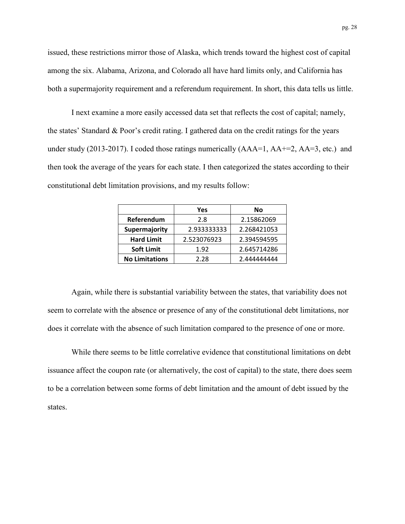issued, these restrictions mirror those of Alaska, which trends toward the highest cost of capital among the six. Alabama, Arizona, and Colorado all have hard limits only, and California has both a supermajority requirement and a referendum requirement. In short, this data tells us little.

I next examine a more easily accessed data set that reflects the cost of capital; namely, the states' Standard & Poor's credit rating. I gathered data on the credit ratings for the years under study (2013-2017). I coded those ratings numerically  $(AAA=1, AA=2, AA=3, etc.)$  and then took the average of the years for each state. I then categorized the states according to their constitutional debt limitation provisions, and my results follow:

|                       | Yes         | No          |
|-----------------------|-------------|-------------|
| Referendum            | 2.8         | 2.15862069  |
| Supermajority         | 2.933333333 | 2.268421053 |
| <b>Hard Limit</b>     | 2.523076923 | 2.394594595 |
| <b>Soft Limit</b>     | 1.92        | 2.645714286 |
| <b>No Limitations</b> | 2.28        | 2.444444444 |

Again, while there is substantial variability between the states, that variability does not seem to correlate with the absence or presence of any of the constitutional debt limitations, nor does it correlate with the absence of such limitation compared to the presence of one or more.

While there seems to be little correlative evidence that constitutional limitations on debt issuance affect the coupon rate (or alternatively, the cost of capital) to the state, there does seem to be a correlation between some forms of debt limitation and the amount of debt issued by the states.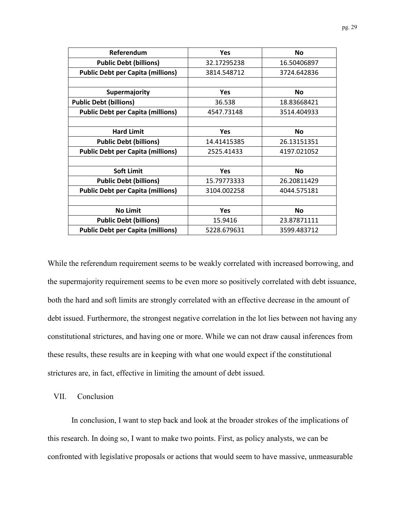| Referendum                               | <b>Yes</b>  | <b>No</b>   |
|------------------------------------------|-------------|-------------|
| <b>Public Debt (billions)</b>            | 32.17295238 | 16.50406897 |
| <b>Public Debt per Capita (millions)</b> | 3814.548712 | 3724.642836 |
|                                          |             |             |
| Supermajority                            | <b>Yes</b>  | <b>No</b>   |
| <b>Public Debt (billions)</b>            | 36.538      | 18.83668421 |
| <b>Public Debt per Capita (millions)</b> | 4547.73148  | 3514.404933 |
|                                          |             |             |
| <b>Hard Limit</b>                        | <b>Yes</b>  | <b>No</b>   |
| <b>Public Debt (billions)</b>            | 14.41415385 | 26.13151351 |
| <b>Public Debt per Capita (millions)</b> | 2525.41433  | 4197.021052 |
|                                          |             |             |
| <b>Soft Limit</b>                        | <b>Yes</b>  | <b>No</b>   |
| <b>Public Debt (billions)</b>            | 15.79773333 | 26.20811429 |
| <b>Public Debt per Capita (millions)</b> | 3104.002258 | 4044.575181 |
|                                          |             |             |
| <b>No Limit</b>                          | <b>Yes</b>  | No          |
| <b>Public Debt (billions)</b>            | 15.9416     | 23.87871111 |
| <b>Public Debt per Capita (millions)</b> | 5228.679631 | 3599.483712 |

While the referendum requirement seems to be weakly correlated with increased borrowing, and the supermajority requirement seems to be even more so positively correlated with debt issuance, both the hard and soft limits are strongly correlated with an effective decrease in the amount of debt issued. Furthermore, the strongest negative correlation in the lot lies between not having any constitutional strictures, and having one or more. While we can not draw causal inferences from these results, these results are in keeping with what one would expect if the constitutional strictures are, in fact, effective in limiting the amount of debt issued.

VII. Conclusion

In conclusion, I want to step back and look at the broader strokes of the implications of this research. In doing so, I want to make two points. First, as policy analysts, we can be confronted with legislative proposals or actions that would seem to have massive, unmeasurable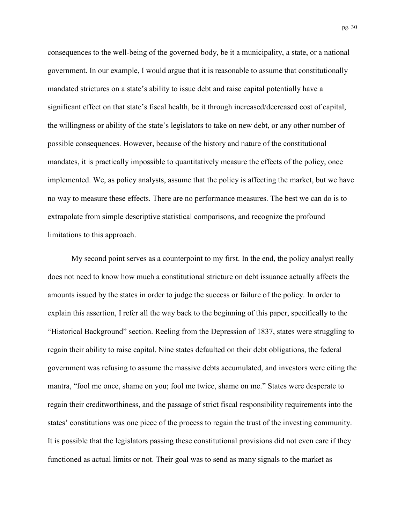consequences to the well-being of the governed body, be it a municipality, a state, or a national government. In our example, I would argue that it is reasonable to assume that constitutionally mandated strictures on a state's ability to issue debt and raise capital potentially have a significant effect on that state's fiscal health, be it through increased/decreased cost of capital, the willingness or ability of the state's legislators to take on new debt, or any other number of possible consequences. However, because of the history and nature of the constitutional mandates, it is practically impossible to quantitatively measure the effects of the policy, once implemented. We, as policy analysts, assume that the policy is affecting the market, but we have no way to measure these effects. There are no performance measures. The best we can do is to extrapolate from simple descriptive statistical comparisons, and recognize the profound limitations to this approach.

My second point serves as a counterpoint to my first. In the end, the policy analyst really does not need to know how much a constitutional stricture on debt issuance actually affects the amounts issued by the states in order to judge the success or failure of the policy. In order to explain this assertion, I refer all the way back to the beginning of this paper, specifically to the "Historical Background" section. Reeling from the Depression of 1837, states were struggling to regain their ability to raise capital. Nine states defaulted on their debt obligations, the federal government was refusing to assume the massive debts accumulated, and investors were citing the mantra, "fool me once, shame on you; fool me twice, shame on me." States were desperate to regain their creditworthiness, and the passage of strict fiscal responsibility requirements into the states' constitutions was one piece of the process to regain the trust of the investing community. It is possible that the legislators passing these constitutional provisions did not even care if they functioned as actual limits or not. Their goal was to send as many signals to the market as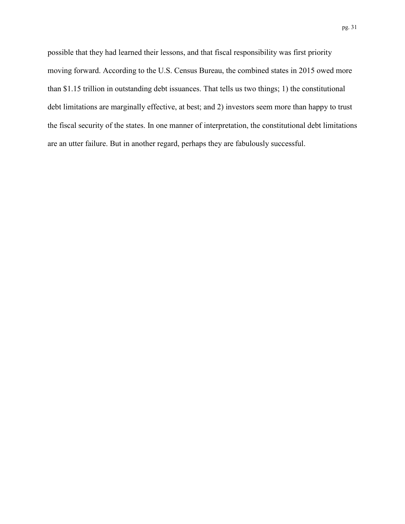possible that they had learned their lessons, and that fiscal responsibility was first priority moving forward. According to the U.S. Census Bureau, the combined states in 2015 owed more than \$1.15 trillion in outstanding debt issuances. That tells us two things; 1) the constitutional debt limitations are marginally effective, at best; and 2) investors seem more than happy to trust the fiscal security of the states. In one manner of interpretation, the constitutional debt limitations are an utter failure. But in another regard, perhaps they are fabulously successful.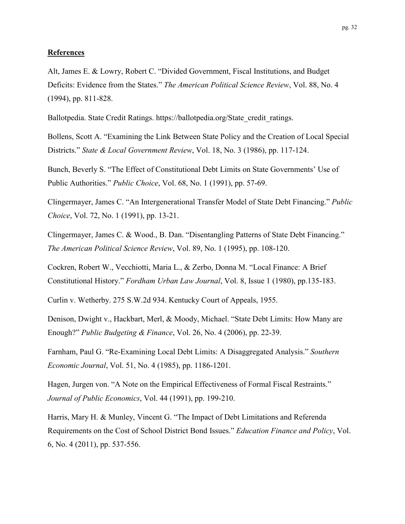#### **References**

Alt, James E. & Lowry, Robert C. "Divided Government, Fiscal Institutions, and Budget Deficits: Evidence from the States." *The American Political Science Review*, Vol. 88, No. 4 (1994), pp. 811-828.

Ballotpedia. State Credit Ratings. https://ballotpedia.org/State\_credit\_ratings.

Bollens, Scott A. "Examining the Link Between State Policy and the Creation of Local Special Districts." *State & Local Government Review*, Vol. 18, No. 3 (1986), pp. 117-124.

Bunch, Beverly S. "The Effect of Constitutional Debt Limits on State Governments' Use of Public Authorities." *Public Choice*, Vol. 68, No. 1 (1991), pp. 57-69.

Clingermayer, James C. "An Intergenerational Transfer Model of State Debt Financing." *Public Choice*, Vol. 72, No. 1 (1991), pp. 13-21.

Clingermayer, James C. & Wood., B. Dan. "Disentangling Patterns of State Debt Financing." *The American Political Science Review*, Vol. 89, No. 1 (1995), pp. 108-120.

Cockren, Robert W., Vecchiotti, Maria L., & Zerbo, Donna M. "Local Finance: A Brief Constitutional History." *Fordham Urban Law Journal*, Vol. 8, Issue 1 (1980), pp.135-183.

Curlin v. Wetherby. 275 S.W.2d 934. Kentucky Court of Appeals, 1955.

Denison, Dwight v., Hackbart, Merl, & Moody, Michael. "State Debt Limits: How Many are Enough?" *Public Budgeting & Finance*, Vol. 26, No. 4 (2006), pp. 22-39.

Farnham, Paul G. "Re-Examining Local Debt Limits: A Disaggregated Analysis." *Southern Economic Journal*, Vol. 51, No. 4 (1985), pp. 1186-1201.

Hagen, Jurgen von. "A Note on the Empirical Effectiveness of Formal Fiscal Restraints." *Journal of Public Economics*, Vol. 44 (1991), pp. 199-210.

Harris, Mary H. & Munley, Vincent G. "The Impact of Debt Limitations and Referenda Requirements on the Cost of School District Bond Issues." *Education Finance and Policy*, Vol. 6, No. 4 (2011), pp. 537-556.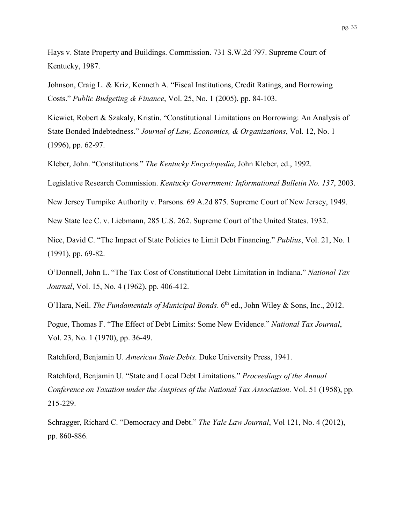Hays v. State Property and Buildings. Commission. 731 S.W.2d 797. Supreme Court of Kentucky, 1987.

Johnson, Craig L. & Kriz, Kenneth A. "Fiscal Institutions, Credit Ratings, and Borrowing Costs." *Public Budgeting & Finance*, Vol. 25, No. 1 (2005), pp. 84-103.

Kiewiet, Robert & Szakaly, Kristin. "Constitutional Limitations on Borrowing: An Analysis of State Bonded Indebtedness." *Journal of Law, Economics, & Organizations*, Vol. 12, No. 1 (1996), pp. 62-97.

Kleber, John. "Constitutions." *The Kentucky Encyclopedia*, John Kleber, ed., 1992.

Legislative Research Commission. *Kentucky Government: Informational Bulletin No. 137*, 2003.

New Jersey Turnpike Authority v. Parsons. 69 A.2d 875. Supreme Court of New Jersey, 1949.

New State Ice C. v. Liebmann, 285 U.S. 262. Supreme Court of the United States. 1932.

Nice, David C. "The Impact of State Policies to Limit Debt Financing." *Publius*, Vol. 21, No. 1 (1991), pp. 69-82.

O'Donnell, John L. "The Tax Cost of Constitutional Debt Limitation in Indiana." *National Tax Journal*, Vol. 15, No. 4 (1962), pp. 406-412.

O'Hara, Neil. *The Fundamentals of Municipal Bonds*. 6<sup>th</sup> ed., John Wiley & Sons, Inc., 2012.

Pogue, Thomas F. "The Effect of Debt Limits: Some New Evidence." *National Tax Journal*, Vol. 23, No. 1 (1970), pp. 36-49.

Ratchford, Benjamin U. *American State Debts*. Duke University Press, 1941.

Ratchford, Benjamin U. "State and Local Debt Limitations." *Proceedings of the Annual Conference on Taxation under the Auspices of the National Tax Association*. Vol. 51 (1958), pp. 215-229.

Schragger, Richard C. "Democracy and Debt." *The Yale Law Journal*, Vol 121, No. 4 (2012), pp. 860-886.